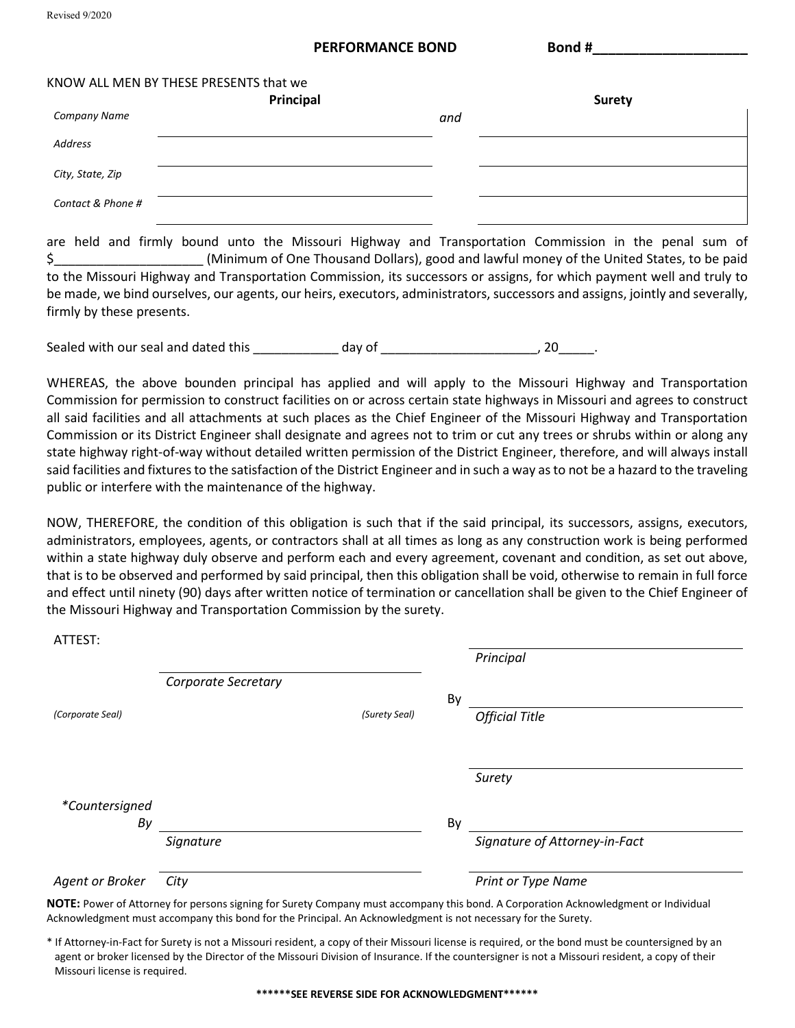Revised 9/2020

#### **PERFORMANCE BOND Bond #**

|                   | KNOW ALL MEN BY THESE PRESENTS that we |     |               |
|-------------------|----------------------------------------|-----|---------------|
|                   | Principal                              |     | <b>Surety</b> |
| Company Name      |                                        | and |               |
| Address           |                                        |     |               |
| City, State, Zip  |                                        |     |               |
| Contact & Phone # |                                        |     |               |

are held and firmly bound unto the Missouri Highway and Transportation Commission in the penal sum of \$\_\_\_\_\_\_\_\_\_\_\_\_\_\_\_\_\_\_\_\_\_ (Minimum of One Thousand Dollars), good and lawful money of the United States, to be paid to the Missouri Highway and Transportation Commission, its successors or assigns, for which payment well and truly to be made, we bind ourselves, our agents, our heirs, executors, administrators, successors and assigns, jointly and severally, firmly by these presents.

Sealed with our seal and dated this \_\_\_\_\_\_\_\_\_\_\_\_ day of \_\_\_\_\_\_\_\_\_\_\_\_\_\_\_\_\_\_\_\_\_\_\_, 20\_\_\_\_\_\_.

WHEREAS, the above bounden principal has applied and will apply to the Missouri Highway and Transportation Commission for permission to construct facilities on or across certain state highways in Missouri and agrees to construct all said facilities and all attachments at such places as the Chief Engineer of the Missouri Highway and Transportation Commission or its District Engineer shall designate and agrees not to trim or cut any trees or shrubs within or along any state highway right-of-way without detailed written permission of the District Engineer, therefore, and will always install said facilities and fixtures to the satisfaction of the District Engineer and in such a way as to not be a hazard to the traveling public or interfere with the maintenance of the highway.

NOW, THEREFORE, the condition of this obligation is such that if the said principal, its successors, assigns, executors, administrators, employees, agents, or contractors shall at all times as long as any construction work is being performed within a state highway duly observe and perform each and every agreement, covenant and condition, as set out above, that is to be observed and performed by said principal, then this obligation shall be void, otherwise to remain in full force and effect until ninety (90) days after written notice of termination or cancellation shall be given to the Chief Engineer of the Missouri Highway and Transportation Commission by the surety.

| ATTEST:          |                     |               |    |                               |  |
|------------------|---------------------|---------------|----|-------------------------------|--|
|                  |                     |               |    | Principal                     |  |
|                  | Corporate Secretary |               |    |                               |  |
|                  |                     |               | By |                               |  |
| (Corporate Seal) |                     | (Surety Seal) |    | <b>Official Title</b>         |  |
|                  |                     |               |    |                               |  |
|                  |                     |               |    |                               |  |
|                  |                     |               |    | Surety                        |  |
| *Countersigned   |                     |               |    |                               |  |
| By               |                     |               | By |                               |  |
|                  | Signature           |               |    | Signature of Attorney-in-Fact |  |
| Agent or Broker  | City                |               |    | Print or Type Name            |  |
|                  |                     |               |    |                               |  |

**NOTE:** Power of Attorney for persons signing for Surety Company must accompany this bond. A Corporation Acknowledgment or Individual Acknowledgment must accompany this bond for the Principal. An Acknowledgment is not necessary for the Surety.

\* If Attorney-in-Fact for Surety is not a Missouri resident, a copy of their Missouri license is required, or the bond must be countersigned by an agent or broker licensed by the Director of the Missouri Division of Insurance. If the countersigner is not a Missouri resident, a copy of their Missouri license is required.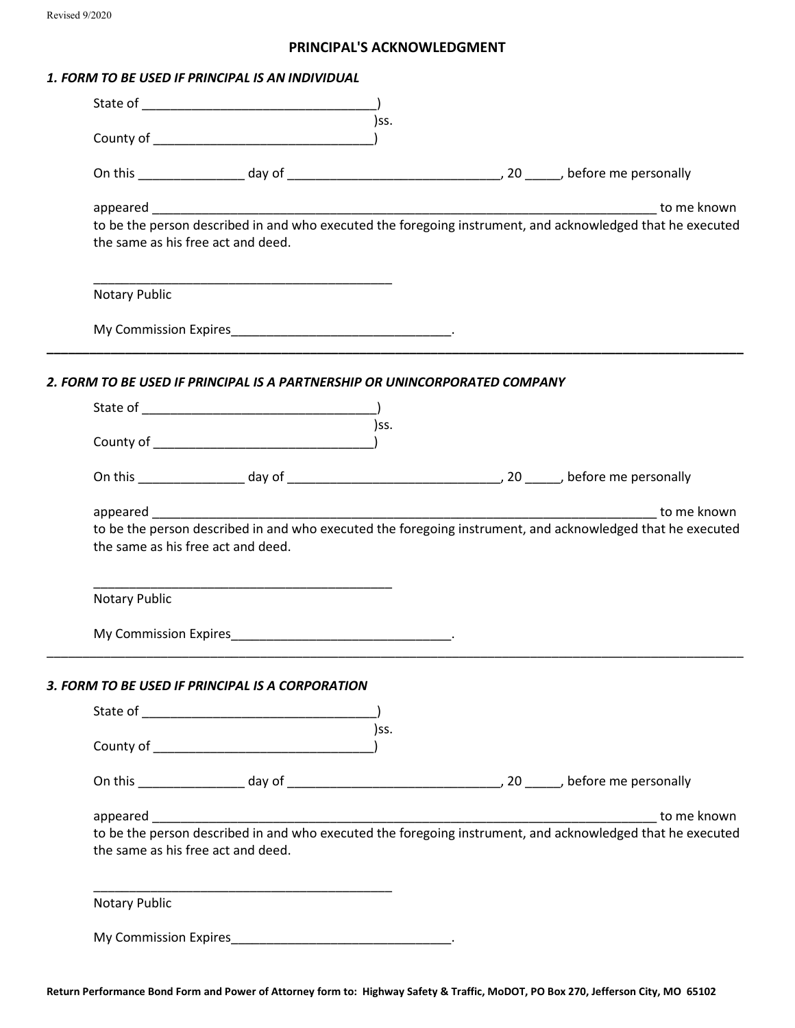#### **PRINCIPAL'S ACKNOWLEDGMENT**

#### *1. FORM TO BE USED IF PRINCIPAL IS AN INDIVIDUAL*

|                                                                            |                                                                                                                                                                                                                                | )ss. |                                                                                                                           |
|----------------------------------------------------------------------------|--------------------------------------------------------------------------------------------------------------------------------------------------------------------------------------------------------------------------------|------|---------------------------------------------------------------------------------------------------------------------------|
|                                                                            |                                                                                                                                                                                                                                |      |                                                                                                                           |
| appeared expression appeared<br>the same as his free act and deed.         |                                                                                                                                                                                                                                |      | to me known<br>to be the person described in and who executed the foregoing instrument, and acknowledged that he executed |
| Notary Public                                                              |                                                                                                                                                                                                                                |      |                                                                                                                           |
|                                                                            | My Commission Expires example and the commission of the series of the contract of the contract of the contract of the contract of the contract of the contract of the contract of the contract of the contract of the contract |      |                                                                                                                           |
| 2. FORM TO BE USED IF PRINCIPAL IS A PARTNERSHIP OR UNINCORPORATED COMPANY |                                                                                                                                                                                                                                |      |                                                                                                                           |
|                                                                            |                                                                                                                                                                                                                                |      |                                                                                                                           |
|                                                                            |                                                                                                                                                                                                                                | )ss. |                                                                                                                           |
|                                                                            |                                                                                                                                                                                                                                |      |                                                                                                                           |
| the same as his free act and deed.                                         |                                                                                                                                                                                                                                |      | to be the person described in and who executed the foregoing instrument, and acknowledged that he executed                |
| Notary Public                                                              |                                                                                                                                                                                                                                |      |                                                                                                                           |
|                                                                            | My Commission Expires example and the commission of the series of the contract of the contract of the contract of the contract of the contract of the contract of the contract of the contract of the contract of the contract |      |                                                                                                                           |
| 3. FORM TO BE USED IF PRINCIPAL IS A CORPORATION                           |                                                                                                                                                                                                                                |      |                                                                                                                           |
|                                                                            |                                                                                                                                                                                                                                | )ss. |                                                                                                                           |
|                                                                            |                                                                                                                                                                                                                                |      |                                                                                                                           |
|                                                                            |                                                                                                                                                                                                                                |      |                                                                                                                           |
| the same as his free act and deed.                                         |                                                                                                                                                                                                                                |      | to be the person described in and who executed the foregoing instrument, and acknowledged that he executed                |
| <b>Notary Public</b>                                                       |                                                                                                                                                                                                                                |      |                                                                                                                           |
|                                                                            |                                                                                                                                                                                                                                |      |                                                                                                                           |

**Return Performance Bond Form and Power of Attorney form to: Highway Safety & Traffic, MoDOT, PO Box 270, Jefferson City, MO 65102**